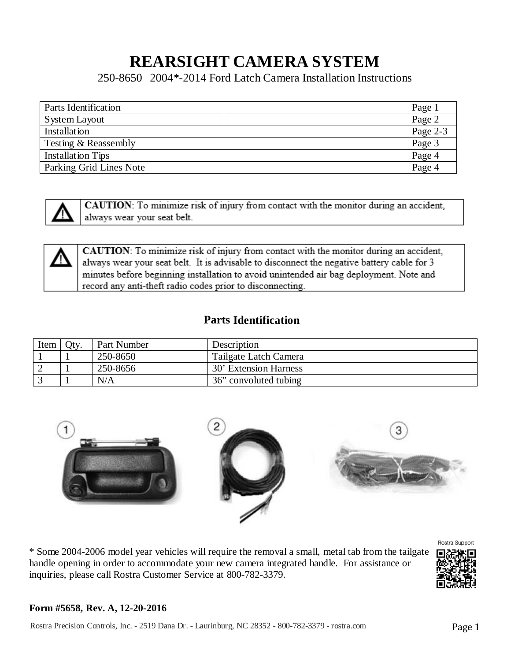# **REARSIGHT CAMERA SYSTEM**

250-8650 2004\*-2014 Ford Latch Camera Installation Instructions

| Parts Identification    | Page 1   |
|-------------------------|----------|
| System Layout           | Page 2   |
| Installation            | Page 2-3 |
| Testing & Reassembly    | Page 3   |
| Installation Tips       | Page 4   |
| Parking Grid Lines Note | Page 4   |



CAUTION: To minimize risk of injury from contact with the monitor during an accident, always wear your seat belt.



CAUTION: To minimize risk of injury from contact with the monitor during an accident, always wear your seat belt. It is advisable to disconnect the negative battery cable for 3 minutes before beginning installation to avoid unintended air bag deployment. Note and record any anti-theft radio codes prior to disconnecting.

### **Parts Identification**

| Item | Oty. | Part Number | Description           |
|------|------|-------------|-----------------------|
|      |      | 250-8650    | Tailgate Latch Camera |
|      |      | 250-8656    | 30' Extension Harness |
|      |      | N/A         | 36" convoluted tubing |



\* Some 2004-2006 model year vehicles will require the removal a small, metal tab from the tailgate handle opening in order to accommodate your new camera integrated handle. For assistance or inquiries, please call Rostra Customer Service at 800-782-3379.



### **Form #5658, Rev. A, 12-20-2016**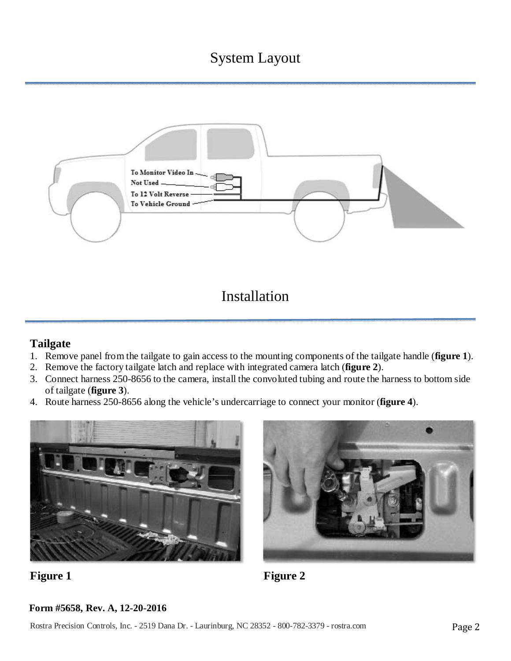## System Layout



Installation

### **Tailgate**

- 1. Remove panel from the tailgate to gain access to the mounting components of the tailgate handle (**figure 1**).
- 2. Remove the factory tailgate latch and replace with integrated camera latch (**figure 2**).
- 3. Connect harness 250-8656 to the camera, install the convoluted tubing and route the harness to bottom side of tailgate (**figure 3**).
- 4. Route harness 250-8656 along the vehicle's undercarriage to connect your monitor (**figure 4**).





**Figure 1** Figure 2

### **Form #5658, Rev. A, 12-20-2016**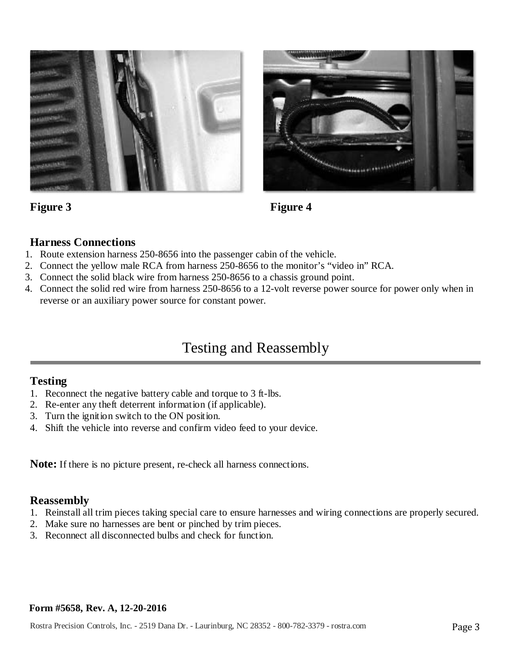



### Figure 3 Figure 4

### **Harness Connections**

- 1. Route extension harness 250-8656 into the passenger cabin of the vehicle.
- 2. Connect the yellow male RCA from harness 250-8656 to the monitor's "video in" RCA.
- 3. Connect the solid black wire from harness 250-8656 to a chassis ground point.
- 4. Connect the solid red wire from harness 250-8656 to a 12-volt reverse power source for power only when in reverse or an auxiliary power source for constant power.

### Testing and Reassembly

### **Testing**

- 1. Reconnect the negative battery cable and torque to 3 ft-lbs.
- 2. Re-enter any theft deterrent information (if applicable).
- 3. Turn the ignition switch to the ON position.
- 4. Shift the vehicle into reverse and confirm video feed to your device.

**Note:** If there is no picture present, re-check all harness connections.

### **Reassembly**

- 1. Reinstall all trim pieces taking special care to ensure harnesses and wiring connections are properly secured.
- 2. Make sure no harnesses are bent or pinched by trim pieces.
- 3. Reconnect all disconnected bulbs and check for function.

#### **Form #5658, Rev. A, 12-20-2016**